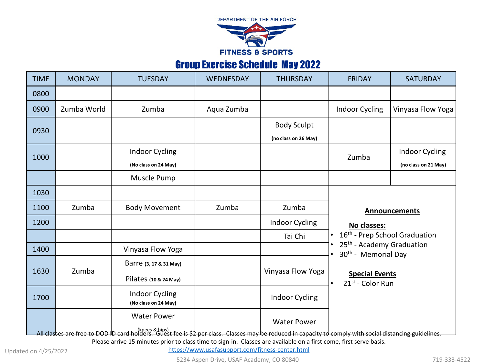

## Group Exercise Schedule May 2022

| <b>TIME</b> | <b>MONDAY</b> | <b>TUESDAY</b>                                                                                                                                           | WEDNESDAY  | <b>THURSDAY</b>       | <b>FRIDAY</b>                                                                                                                                                      | <b>SATURDAY</b>       |
|-------------|---------------|----------------------------------------------------------------------------------------------------------------------------------------------------------|------------|-----------------------|--------------------------------------------------------------------------------------------------------------------------------------------------------------------|-----------------------|
| 0800        |               |                                                                                                                                                          |            |                       |                                                                                                                                                                    |                       |
| 0900        | Zumba World   | Zumba                                                                                                                                                    | Aqua Zumba |                       | <b>Indoor Cycling</b>                                                                                                                                              | Vinyasa Flow Yoga     |
| 0930        |               |                                                                                                                                                          |            | <b>Body Sculpt</b>    |                                                                                                                                                                    |                       |
|             |               |                                                                                                                                                          |            | (no class on 26 May)  |                                                                                                                                                                    |                       |
| 1000        |               | <b>Indoor Cycling</b>                                                                                                                                    |            |                       | Zumba                                                                                                                                                              | <b>Indoor Cycling</b> |
|             |               | (No class on 24 May)                                                                                                                                     |            |                       |                                                                                                                                                                    | (no class on 21 May)  |
|             |               | Muscle Pump                                                                                                                                              |            |                       |                                                                                                                                                                    |                       |
| 1030        |               |                                                                                                                                                          |            |                       |                                                                                                                                                                    |                       |
| 1100        | Zumba         | <b>Body Movement</b>                                                                                                                                     | Zumba      | Zumba                 | <b>Announcements</b>                                                                                                                                               |                       |
| 1200        |               |                                                                                                                                                          |            | Indoor Cycling        | No classes:                                                                                                                                                        |                       |
|             |               |                                                                                                                                                          |            | Tai Chi               | 16 <sup>th</sup> - Prep School Graduation<br>25 <sup>th</sup> - Academy Graduation<br>30 <sup>th</sup> - Memorial Day<br><b>Special Events</b><br>21st - Color Run |                       |
| 1400        |               | Vinyasa Flow Yoga                                                                                                                                        |            |                       |                                                                                                                                                                    |                       |
| 1630        | Zumba         | Barre (3, 17 & 31 May)                                                                                                                                   |            | Vinyasa Flow Yoga     |                                                                                                                                                                    |                       |
|             |               | Pilates (10 & 24 May)                                                                                                                                    |            |                       |                                                                                                                                                                    |                       |
| 1700        |               | <b>Indoor Cycling</b><br>(No class on 24 May)                                                                                                            |            | <b>Indoor Cycling</b> |                                                                                                                                                                    |                       |
|             |               | <b>Water Power</b>                                                                                                                                       |            | <b>Water Power</b>    |                                                                                                                                                                    |                       |
|             |               | All classes are free to DOD ID card holders. Guest fee is \$2 per class. Classes may be reduced in capacity to comply with social distancing guidelines. |            |                       |                                                                                                                                                                    |                       |

Please arrive 15 minutes prior to class time to sign-in. Classes are available on a first come, first serve basis.

<https://www.usafasupport.com/fitness-center.html>